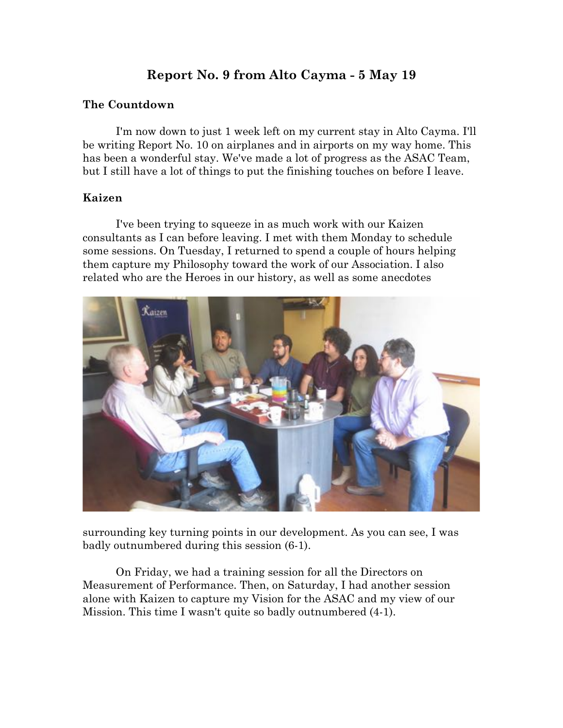# **Report No. 9 from Alto Cayma - 5 May 19**

### **The Countdown**

I'm now down to just 1 week left on my current stay in Alto Cayma. I'll be writing Report No. 10 on airplanes and in airports on my way home. This has been a wonderful stay. We've made a lot of progress as the ASAC Team, but I still have a lot of things to put the finishing touches on before I leave.

### **Kaizen**

I've been trying to squeeze in as much work with our Kaizen consultants as I can before leaving. I met with them Monday to schedule some sessions. On Tuesday, I returned to spend a couple of hours helping them capture my Philosophy toward the work of our Association. I also related who are the Heroes in our history, as well as some anecdotes



surrounding key turning points in our development. As you can see, I was badly outnumbered during this session (6-1).

On Friday, we had a training session for all the Directors on Measurement of Performance. Then, on Saturday, I had another session alone with Kaizen to capture my Vision for the ASAC and my view of our Mission. This time I wasn't quite so badly outnumbered (4-1).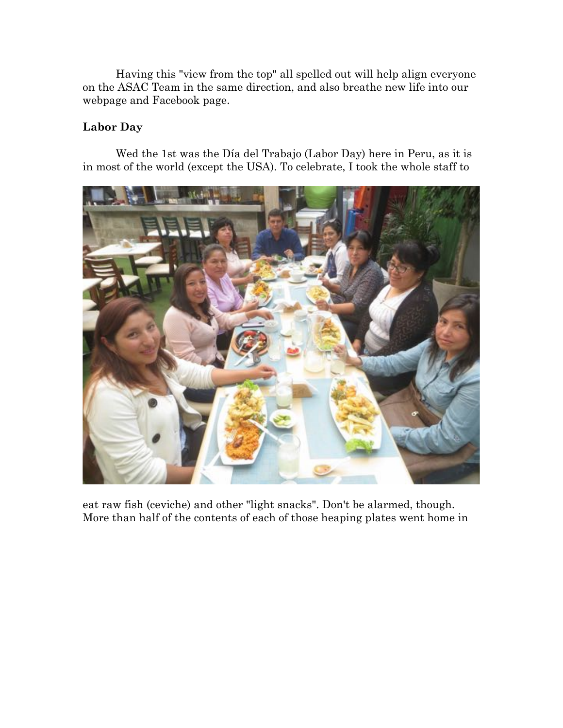Having this "view from the top" all spelled out will help align everyone on the ASAC Team in the same direction, and also breathe new life into our webpage and Facebook page.

### **Labor Day**

Wed the 1st was the Día del Trabajo (Labor Day) here in Peru, as it is in most of the world (except the USA). To celebrate, I took the whole staff to



eat raw fish (ceviche) and other "light snacks". Don't be alarmed, though. More than half of the contents of each of those heaping plates went home in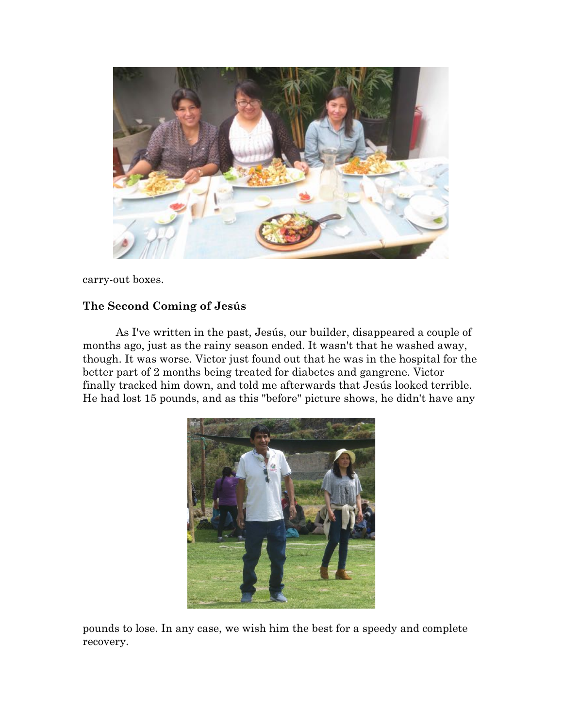

carry-out boxes.

### **The Second Coming of Jesús**

As I've written in the past, Jesús, our builder, disappeared a couple of months ago, just as the rainy season ended. It wasn't that he washed away, though. It was worse. Victor just found out that he was in the hospital for the better part of 2 months being treated for diabetes and gangrene. Victor finally tracked him down, and told me afterwards that Jesús looked terrible. He had lost 15 pounds, and as this "before" picture shows, he didn't have any



pounds to lose. In any case, we wish him the best for a speedy and complete recovery.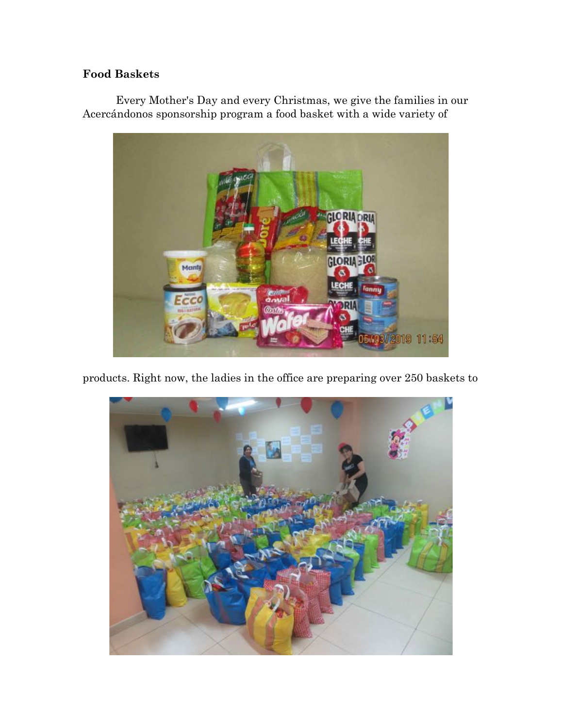## **Food Baskets**

Every Mother's Day and every Christmas, we give the families in our Acercándonos sponsorship program a food basket with a wide variety of



products. Right now, the ladies in the office are preparing over 250 baskets to

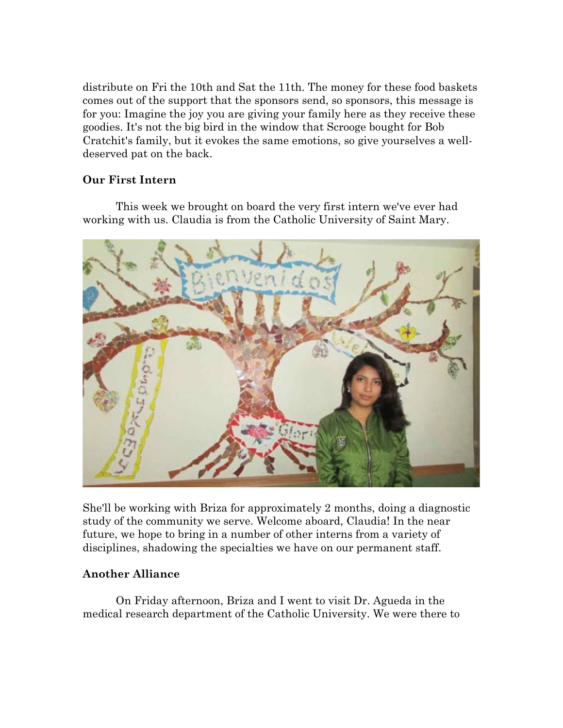distribute on Fri the 10th and Sat the 11th. The money for these food baskets comes out of the support that the sponsors send, so sponsors, this message is for you: Imagine the joy you are giving your family here as they receive these goodies. It's not the big bird in the window that Scrooge bought for Bob Cratchit's family, but it evokes the same emotions, so give yourselves a welldeserved pat on the back.

### **Our First Intern**

This week we brought on board the very first intern we've ever had working with us. Claudia is from the Catholic University of Saint Mary.



She'll be working with Briza for approximately 2 months, doing a diagnostic study of the community we serve. Welcome aboard, Claudia! In the near future, we hope to bring in a number of other interns from a variety of disciplines, shadowing the specialties we have on our permanent staff.

### **Another Alliance**

On Friday afternoon, Briza and I went to visit Dr. Agueda in the medical research department of the Catholic University. We were there to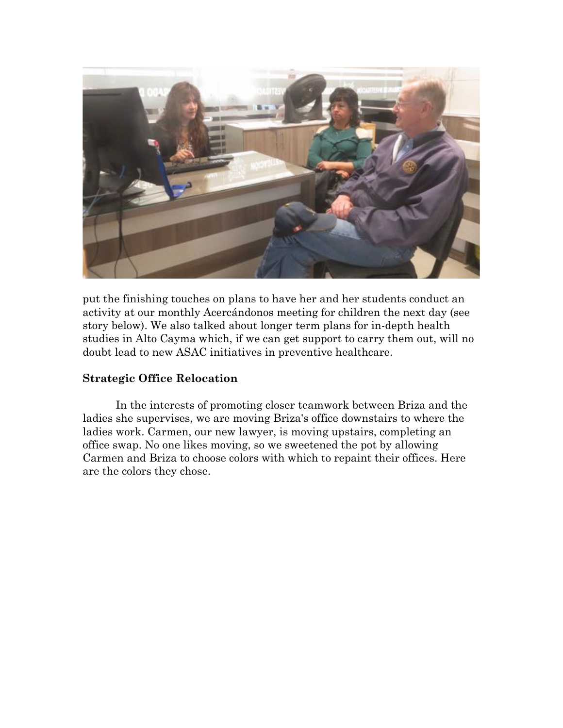

put the finishing touches on plans to have her and her students conduct an activity at our monthly Acercándonos meeting for children the next day (see story below). We also talked about longer term plans for in-depth health studies in Alto Cayma which, if we can get support to carry them out, will no doubt lead to new ASAC initiatives in preventive healthcare.

#### **Strategic Office Relocation**

In the interests of promoting closer teamwork between Briza and the ladies she supervises, we are moving Briza's office downstairs to where the ladies work. Carmen, our new lawyer, is moving upstairs, completing an office swap. No one likes moving, so we sweetened the pot by allowing Carmen and Briza to choose colors with which to repaint their offices. Here are the colors they chose.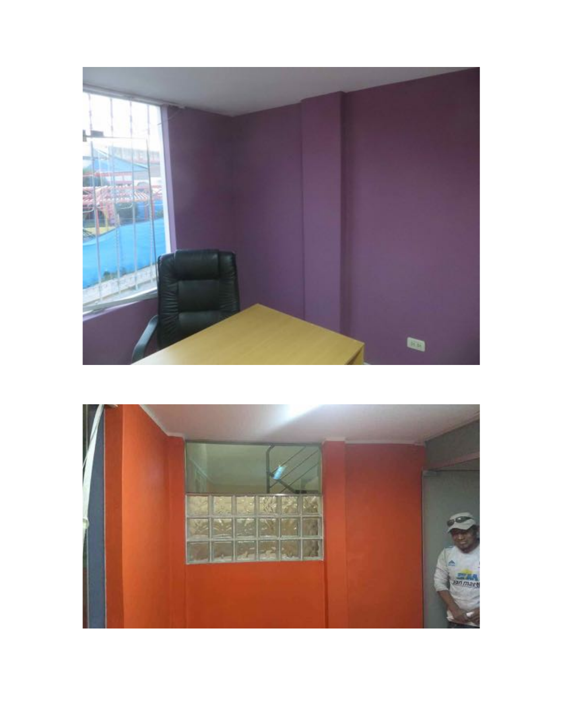

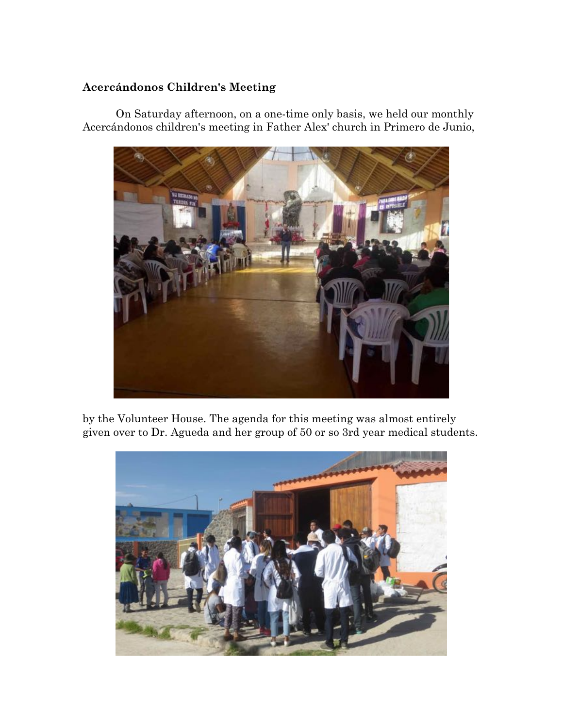### **Acercándonos Children's Meeting**



On Saturday afternoon, on a one-time only basis, we held our monthly Acercándonos children's meeting in Father Alex' church in Primero de Junio,

by the Volunteer House. The agenda for this meeting was almost entirely given over to Dr. Agueda and her group of 50 or so 3rd year medical students.

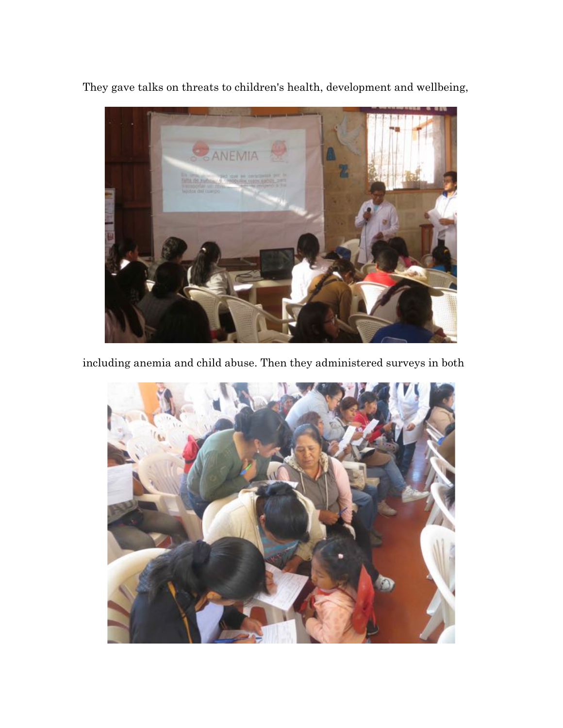They gave talks on threats to children's health, development and wellbeing,



including anemia and child abuse. Then they administered surveys in both